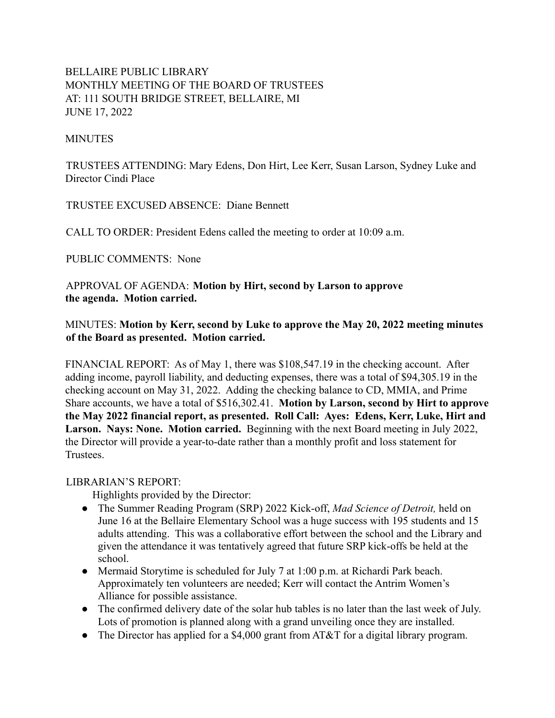# BELLAIRE PUBLIC LIBRARY MONTHLY MEETING OF THE BOARD OF TRUSTEES AT: 111 SOUTH BRIDGE STREET, BELLAIRE, MI JUNE 17, 2022

#### **MINUTES**

TRUSTEES ATTENDING: Mary Edens, Don Hirt, Lee Kerr, Susan Larson, Sydney Luke and Director Cindi Place

TRUSTEE EXCUSED ABSENCE: Diane Bennett

CALL TO ORDER: President Edens called the meeting to order at 10:09 a.m.

PUBLIC COMMENTS: None

APPROVAL OF AGENDA: **Motion by Hirt, second by Larson to approve the agenda. Motion carried.**

## MINUTES: **Motion by Kerr, second by Luke to approve the May 20, 2022 meeting minutes of the Board as presented. Motion carried.**

FINANCIAL REPORT: As of May 1, there was \$108,547.19 in the checking account. After adding income, payroll liability, and deducting expenses, there was a total of \$94,305.19 in the checking account on May 31, 2022. Adding the checking balance to CD, MMIA, and Prime Share accounts, we have a total of \$516,302.41. **Motion by Larson, second by Hirt to approve the May 2022 financial report, as presented. Roll Call: Ayes: Edens, Kerr, Luke, Hirt and Larson. Nays: None. Motion carried.** Beginning with the next Board meeting in July 2022, the Director will provide a year-to-date rather than a monthly profit and loss statement for **Trustees** 

#### LIBRARIAN'S REPORT:

Highlights provided by the Director:

- The Summer Reading Program (SRP) 2022 Kick-off, *Mad Science of Detroit,* held on June 16 at the Bellaire Elementary School was a huge success with 195 students and 15 adults attending. This was a collaborative effort between the school and the Library and given the attendance it was tentatively agreed that future SRP kick-offs be held at the school.
- Mermaid Storytime is scheduled for July 7 at 1:00 p.m. at Richardi Park beach. Approximately ten volunteers are needed; Kerr will contact the Antrim Women's Alliance for possible assistance.
- The confirmed delivery date of the solar hub tables is no later than the last week of July. Lots of promotion is planned along with a grand unveiling once they are installed.
- The Director has applied for a \$4,000 grant from AT&T for a digital library program.